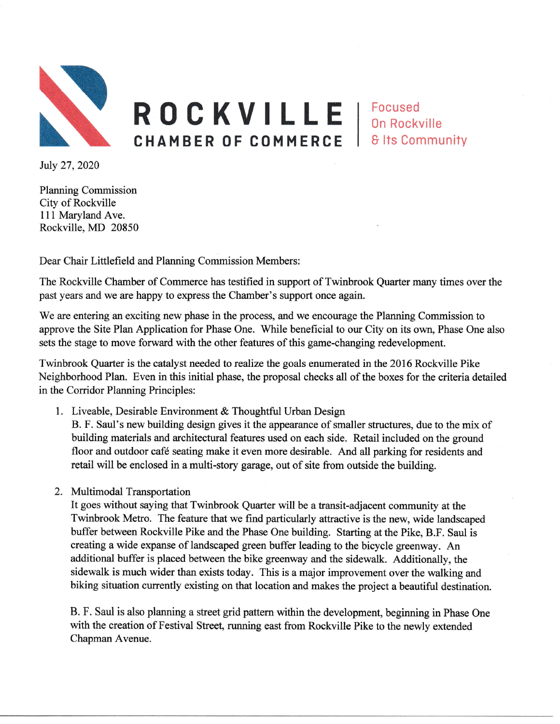

CHAMBER OF COMMERCE Focused ROCKVILLE | Focused **& Its Community** 

Iuly 27,2020

Planning Commission City of Rockville 111 Maryland Ave. Rockville, MD 20850

Dear Chair Littlefield and Planning Commission Members:

The Rockville Chamber of Commerce has testified in support of Twinbrook Quarter many times over the past years and we are happy to express the Chamber's support once again.

We are entering an exciting new phase in the process, and we encourage the Planning Commission to approve the Site Plan Application for Phase One. While beneficial to our City on its own, Phase One also sets the stage to move forward with the other features of this game-changing redevelopment.

Twinbrook Quarter is the catalyst needed to realize the goals enumerated in the 2016 Rockville Pike Neighborhood Plan. Even in this initial phase, the proposal checks all of the boxes for the criteria detailed in the Corridor Planning Principles:

1. Liveable, Desirable Environment & Thoughtful Urban Design

B. F. Saul's new building design gives it the appearance of smaller structures, due to the mix of building materials and mchitectural features used on each side. Retail included on the ground floor and outdoor café seating make it even more desirable. And all parking for residents and retail will be enclosed in a multi-story garage, out of site from outside the building.

2. Multimodal Transportation

It goes without saying that Twinbrook Quarter will be a tansit-adjacent community at the Twinbrook Metro. The feature that we find particularly attractive is the new, wide landscaped buffer between Rockville Pike and the Phase One building. Starting at the Pike, B.F. Saul is creating a wide expanse of landscaped green buffer leading to the bicycle greenway. An additional buffer is placed between the bike greenway and the sidewalk. Additionally, the sidewalk is much wider than exists today. This is a major improvement over the walking and biking situation currently existing on that location and makes the project a beautiful destination.

B. F. Saul is also planning a street grid pattern within the development, beginning in Phase One with the creation of Festival Street, running east from Rockville Pike to the newly extended Chapman Avenue.